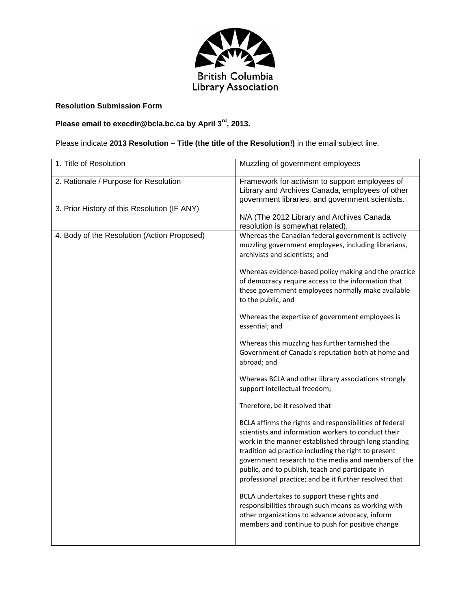

### **Resolution Submission Form**

**Please email to execdir@bcla.bc.ca by April 3rd, 2013.** 

## Please indicate **2013 Resolution – Title (the title of the Resolution!)** in the email subject line.

| 1. Title of Resolution                       | Muzzling of government employees                                                                                                                                                                                                                                                                                                                                                                    |
|----------------------------------------------|-----------------------------------------------------------------------------------------------------------------------------------------------------------------------------------------------------------------------------------------------------------------------------------------------------------------------------------------------------------------------------------------------------|
| 2. Rationale / Purpose for Resolution        | Framework for activism to support employees of<br>Library and Archives Canada, employees of other<br>government libraries, and government scientists.                                                                                                                                                                                                                                               |
| 3. Prior History of this Resolution (IF ANY) | N/A (The 2012 Library and Archives Canada<br>resolution is somewhat related).                                                                                                                                                                                                                                                                                                                       |
| 4. Body of the Resolution (Action Proposed)  | Whereas the Canadian federal government is actively<br>muzzling government employees, including librarians,<br>archivists and scientists; and                                                                                                                                                                                                                                                       |
|                                              | Whereas evidence-based policy making and the practice<br>of democracy require access to the information that<br>these government employees normally make available<br>to the public; and                                                                                                                                                                                                            |
|                                              | Whereas the expertise of government employees is<br>essential; and                                                                                                                                                                                                                                                                                                                                  |
|                                              | Whereas this muzzling has further tarnished the<br>Government of Canada's reputation both at home and<br>abroad; and                                                                                                                                                                                                                                                                                |
|                                              | Whereas BCLA and other library associations strongly<br>support intellectual freedom;                                                                                                                                                                                                                                                                                                               |
|                                              | Therefore, be it resolved that                                                                                                                                                                                                                                                                                                                                                                      |
|                                              | BCLA affirms the rights and responsibilities of federal<br>scientists and information workers to conduct their<br>work in the manner established through long standing<br>tradition ad practice including the right to present<br>government research to the media and members of the<br>public, and to publish, teach and participate in<br>professional practice; and be it further resolved that |
|                                              | BCLA undertakes to support these rights and<br>responsibilities through such means as working with<br>other organizations to advance advocacy, inform<br>members and continue to push for positive change                                                                                                                                                                                           |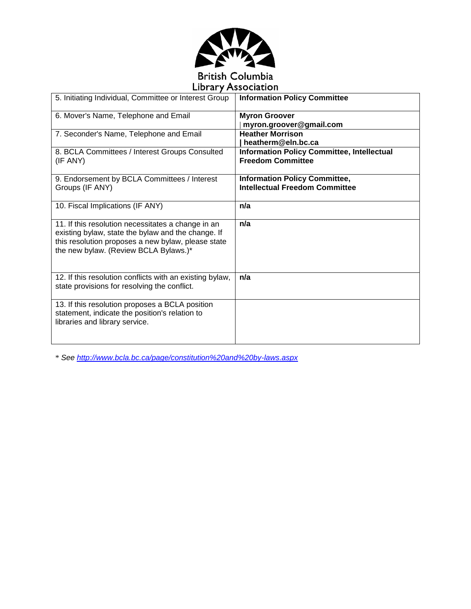

# **Library Association**

| 5. Initiating Individual, Committee or Interest Group                                                                                                                                                   | <b>Information Policy Committee</b>                                           |
|---------------------------------------------------------------------------------------------------------------------------------------------------------------------------------------------------------|-------------------------------------------------------------------------------|
| 6. Mover's Name, Telephone and Email                                                                                                                                                                    | <b>Myron Groover</b><br>myron.groover@gmail.com                               |
| 7. Seconder's Name, Telephone and Email                                                                                                                                                                 | <b>Heather Morrison</b><br>heatherm@eln.bc.ca                                 |
| 8. BCLA Committees / Interest Groups Consulted<br>(IF ANY)                                                                                                                                              | <b>Information Policy Committee, Intellectual</b><br><b>Freedom Committee</b> |
| 9. Endorsement by BCLA Committees / Interest<br>Groups (IF ANY)                                                                                                                                         | <b>Information Policy Committee,</b><br><b>Intellectual Freedom Committee</b> |
| 10. Fiscal Implications (IF ANY)                                                                                                                                                                        | n/a                                                                           |
| 11. If this resolution necessitates a change in an<br>existing bylaw, state the bylaw and the change. If<br>this resolution proposes a new bylaw, please state<br>the new bylaw. (Review BCLA Bylaws.)* | n/a                                                                           |
| 12. If this resolution conflicts with an existing bylaw,<br>state provisions for resolving the conflict.                                                                                                | n/a                                                                           |
| 13. If this resolution proposes a BCLA position<br>statement, indicate the position's relation to<br>libraries and library service.                                                                     |                                                                               |

\* *See<http://www.bcla.bc.ca/page/constitution%20and%20by-laws.aspx>*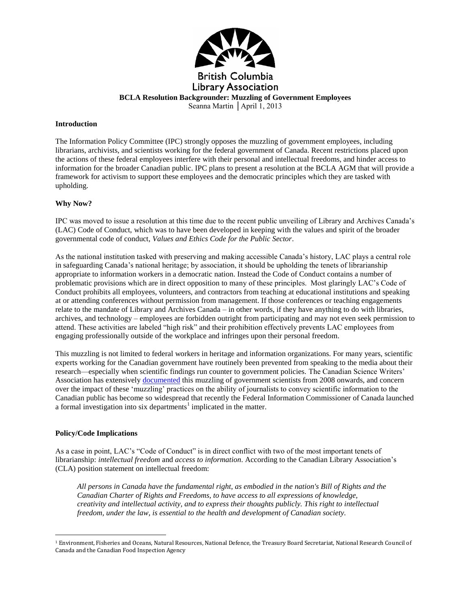

**BCLA Resolution Backgrounder: Muzzling of Government Employees**

Seanna Martin │April 1, 2013

#### **Introduction**

The Information Policy Committee (IPC) strongly opposes the muzzling of government employees, including librarians, archivists, and scientists working for the federal government of Canada. Recent restrictions placed upon the actions of these federal employees interfere with their personal and intellectual freedoms, and hinder access to information for the broader Canadian public. IPC plans to present a resolution at the BCLA AGM that will provide a framework for activism to support these employees and the democratic principles which they are tasked with upholding.

#### **Why Now?**

IPC was moved to issue a resolution at this time due to the recent public unveiling of Library and Archives Canada's (LAC) Code of Conduct, which was to have been developed in keeping with the values and spirit of the broader governmental code of conduct, *Values and Ethics Code for the Public Sector*.

As the national institution tasked with preserving and making accessible Canada's history, LAC plays a central role in safeguarding Canada's national heritage; by association, it should be upholding the tenets of librarianship appropriate to information workers in a democratic nation. Instead the Code of Conduct contains a number of problematic provisions which are in direct opposition to many of these principles. Most glaringly LAC's Code of Conduct prohibits all employees, volunteers, and contractors from teaching at educational institutions and speaking at or attending conferences without permission from management. If those conferences or teaching engagements relate to the mandate of Library and Archives Canada – in other words, if they have anything to do with libraries, archives, and technology – employees are forbidden outright from participating and may not even seek permission to attend. These activities are labeled "high risk" and their prohibition effectively prevents LAC employees from engaging professionally outside of the workplace and infringes upon their personal freedom.

This muzzling is not limited to federal workers in heritage and information organizations. For many years, scientific experts working for the Canadian government have routinely been prevented from speaking to the media about their research—especially when scientific findings run counter to government policies. The Canadian Science Writers' Association has extensivel[y documented](http://sciencewriters.ca/initiatives/muzzling_canadian_federal_scientists/) this muzzling of government scientists from 2008 onwards, and concern over the impact of these 'muzzling' practices on the ability of journalists to convey scientific information to the Canadian public has become so widespread that recently the Federal Information Commissioner of Canada launched a formal investigation into six departments<sup>1</sup> implicated in the matter.

#### **Policy/Code Implications**

 $\overline{a}$ 

As a case in point, LAC's "Code of Conduct" is in direct conflict with two of the most important tenets of librarianship: *intellectual freedom* and *access to information*. According to the Canadian Library Association's (CLA) position statement on intellectual freedom:

*All persons in Canada have the fundamental right, as embodied in the nation's Bill of Rights and the Canadian Charter of Rights and Freedoms, to have access to all expressions of knowledge, creativity and intellectual activity, and to express their thoughts publicly. This right to intellectual freedom, under the law, is essential to the health and development of Canadian society.*

<sup>1</sup> Environment, Fisheries and Oceans, Natural Resources, National Defence, the Treasury Board Secretariat, National Research Council of Canada and the Canadian Food Inspection Agency